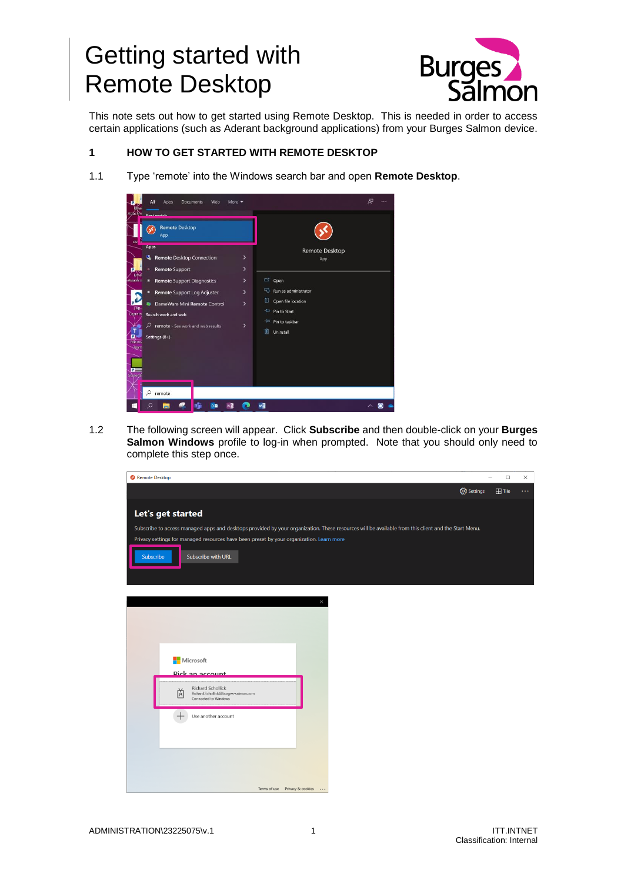## Getting started with Remote Desktop



This note sets out how to get started using Remote Desktop. This is needed in order to access certain applications (such as Aderant background applications) from your Burges Salmon device.

## **1 HOW TO GET STARTED WITH REMOTE DESKTOP**

1.1 Type 'remote' into the Windows search bar and open **Remote Desktop**.



1.2 The following screen will appear. Click **Subscribe** and then double-click on your **Burges Salmon Windows** profile to log-in when prompted. Note that you should only need to complete this step once.

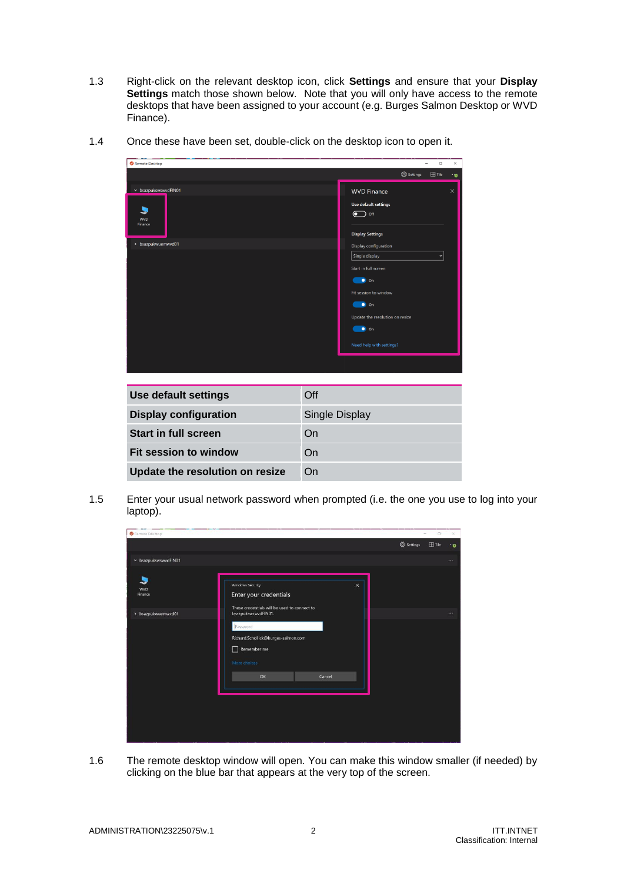1.3 Right-click on the relevant desktop icon, click **Settings** and ensure that your **Display**  Settings match those shown below. Note that you will only have access to the remote desktops that have been assigned to your account (e.g. Burges Salmon Desktop or WVD Finance).



1.4 Once these have been set, double-click on the desktop icon to open it.

| Use default settings            | Off            |
|---------------------------------|----------------|
| <b>Display configuration</b>    | Single Display |
| <b>Start in full screen</b>     | On             |
| Fit session to window           | On             |
| Update the resolution on resize | On             |

1.5 Enter your usual network password when prompted (i.e. the one you use to log into your laptop).



1.6 The remote desktop window will open. You can make this window smaller (if needed) by clicking on the blue bar that appears at the very top of the screen.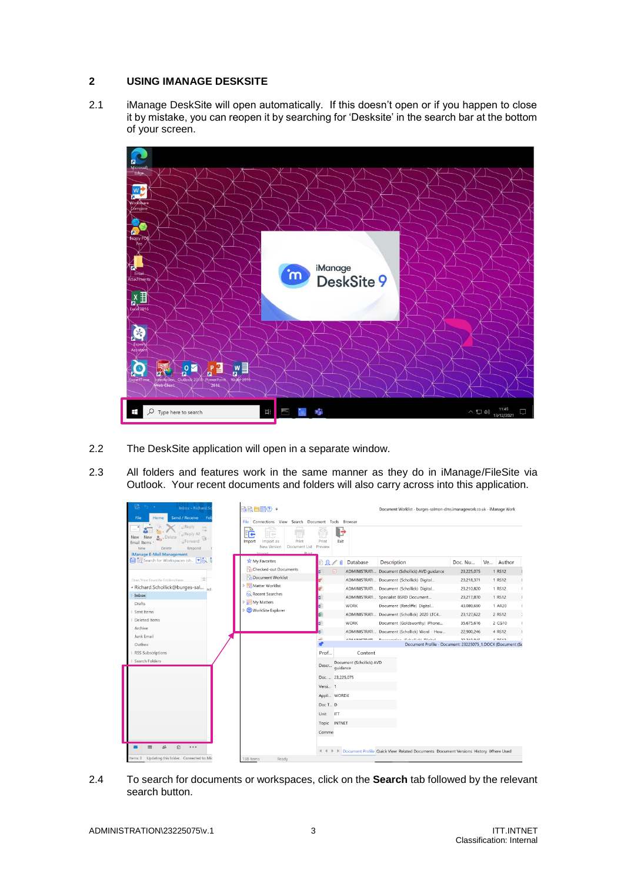## **2 USING IMANAGE DESKSITE**

2.1 iManage DeskSite will open automatically. If this doesn't open or if you happen to close it by mistake, you can reopen it by searching for 'Desksite' in the search bar at the bottom of your screen.



- 2.2 The DeskSite application will open in a separate window.
- 2.3 All folders and features work in the same manner as they do in iManage/FileSite via Outlook. Your recent documents and folders will also carry across into this application.

| 큰<br><b>Since</b><br>Inbox - Richard.St                                                 | 最適自體?:                                                                                     | Document Worklist - burges-salmon-dms.imanagework.co.uk - iManage Work |                                      |             |                                                                                             |                          |           |                         |  |
|-----------------------------------------------------------------------------------------|--------------------------------------------------------------------------------------------|------------------------------------------------------------------------|--------------------------------------|-------------|---------------------------------------------------------------------------------------------|--------------------------|-----------|-------------------------|--|
| <b>Send / Receive</b><br>File<br>Home<br>Fol<br>Reply                                   | File<br>Connections View Search Document Tools Browser                                     |                                                                        |                                      |             |                                                                                             |                          |           |                         |  |
| Reply All<br>Delete<br>New<br>New<br>Forward<br>Email Items<br>Delete<br>Respond<br>New | FR<br>≕<br>Import as<br>Print<br>Import<br>New Version<br>Document List<br>Drint<br>Import | Print<br>Preview                                                       | H<br>Exit                            |             |                                                                                             |                          |           |                         |  |
| iManage E-Mail Management<br>Search for Workspaces (sh Vin                              | <b>X</b> My Favorites                                                                      | Ω                                                                      | Database<br>n                        | Description |                                                                                             | Doc. Nu                  | <b>Ve</b> | Author                  |  |
|                                                                                         | Checked-out Documents                                                                      | ⊡                                                                      |                                      |             |                                                                                             |                          |           |                         |  |
| Drag Vour Favorite Folders Here                                                         | Document Worklist                                                                          |                                                                        |                                      |             | ADMINISTRATI Document (Schollick) AVD guidance<br>ADMINISTRATI Document (Schollick) Digital | 23,225,075<br>23,218,371 |           | 1 RS12<br>1 RS12        |  |
| - Richard.Schollick@burges-sal nd.                                                      | Matter Worklist                                                                            | ø۴                                                                     |                                      |             |                                                                                             |                          |           | 1 RS12                  |  |
| Inbox                                                                                   | Recent Searches                                                                            |                                                                        |                                      |             | ADMINISTRATI Document (Schollick) Digital<br>ADMINISTRATI Specialist BSRD Document          | 23,210,820<br>23,217,870 |           | 1 RS12<br>t             |  |
| Drafts                                                                                  | My Matters                                                                                 | ۵                                                                      | <b>WORK</b>                          |             |                                                                                             | 43.089.690               |           | 1 AR20<br>t             |  |
| Sent Items                                                                              | MorkSite Explorer                                                                          | a<br>ø.                                                                |                                      |             | Document (Ratcliffe) Digital<br>ADMINISTRATI Document (Schollick) 2020 LTC4                 | 23,127,622               |           | 2 RS12<br>$\rightarrow$ |  |
| Deleted Items                                                                           |                                                                                            | ы                                                                      | <b>WORK</b>                          |             | Document (Goldsworthy) iPhone                                                               | 35.675.616               |           | 2 CG10<br>r             |  |
| Archive                                                                                 |                                                                                            |                                                                        |                                      |             | ADMINISTRATI Document (Schollick) Word - How                                                | 22,900,246               |           | 4 RS12                  |  |
| Junk Email                                                                              |                                                                                            | Шb                                                                     | <b>A PLA SIBUCTDATI</b>              |             | December 10 dealbath Pinish                                                                 | 33.340.04E               |           | $n$ ncan                |  |
| Outbox                                                                                  |                                                                                            |                                                                        |                                      |             | Document Profile - Document: 23225075_1.DOCX (Document (Sc                                  |                          |           |                         |  |
| <b>RSS Subscriptions</b>                                                                |                                                                                            | Prof                                                                   | Content                              |             |                                                                                             |                          |           |                         |  |
| Search Folders                                                                          |                                                                                            | Descr                                                                  | Document (Schollick) AVD<br>quidance |             |                                                                                             |                          |           |                         |  |
|                                                                                         |                                                                                            | Doc 23,225.075                                                         |                                      |             |                                                                                             |                          |           |                         |  |
|                                                                                         |                                                                                            | Versi 1                                                                |                                      |             |                                                                                             |                          |           |                         |  |
|                                                                                         |                                                                                            | Appli WORDX                                                            |                                      |             |                                                                                             |                          |           |                         |  |
|                                                                                         |                                                                                            | Doc T D                                                                |                                      |             |                                                                                             |                          |           |                         |  |
|                                                                                         |                                                                                            | <b>ITT</b><br>Unit                                                     |                                      |             |                                                                                             |                          |           |                         |  |
|                                                                                         |                                                                                            | Topic                                                                  | <b>INTNET</b>                        |             |                                                                                             |                          |           |                         |  |
|                                                                                         |                                                                                            | Comme                                                                  |                                      |             |                                                                                             |                          |           |                         |  |
| Ø<br>A.<br><br>▬                                                                        |                                                                                            |                                                                        |                                      |             | I Document Profile Quick View Related Documents Document Versions History Where Used        |                          |           |                         |  |
| Items: 0 Updating this folder. Connected to: Mic                                        | 138 Items<br>Ready                                                                         |                                                                        |                                      |             |                                                                                             |                          |           |                         |  |

2.4 To search for documents or workspaces, click on the **Search** tab followed by the relevant search button.